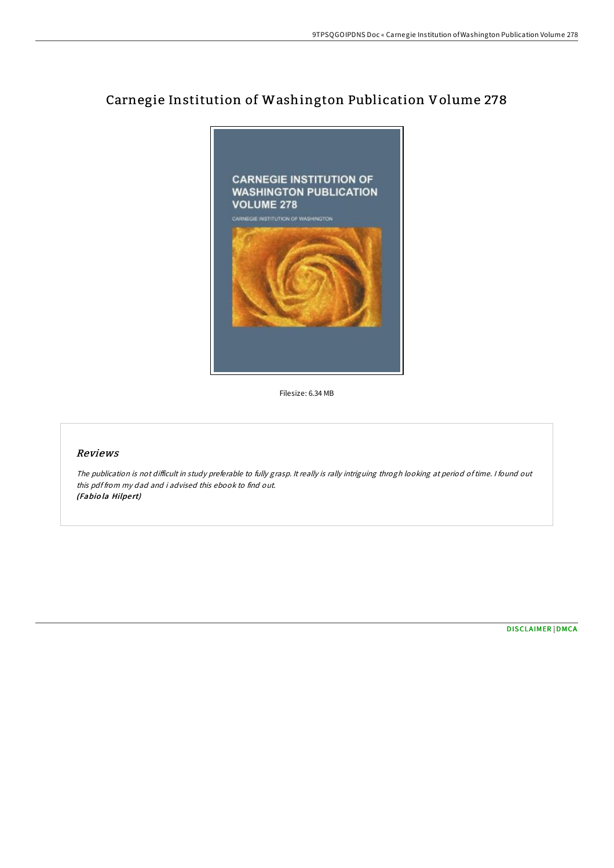## Carnegie Institution of Washington Publication Volume 278



Filesize: 6.34 MB

## Reviews

The publication is not difficult in study preferable to fully grasp. It really is rally intriguing throgh looking at period of time. I found out this pdf from my dad and i advised this ebook to find out. (Fabiola Hilpert)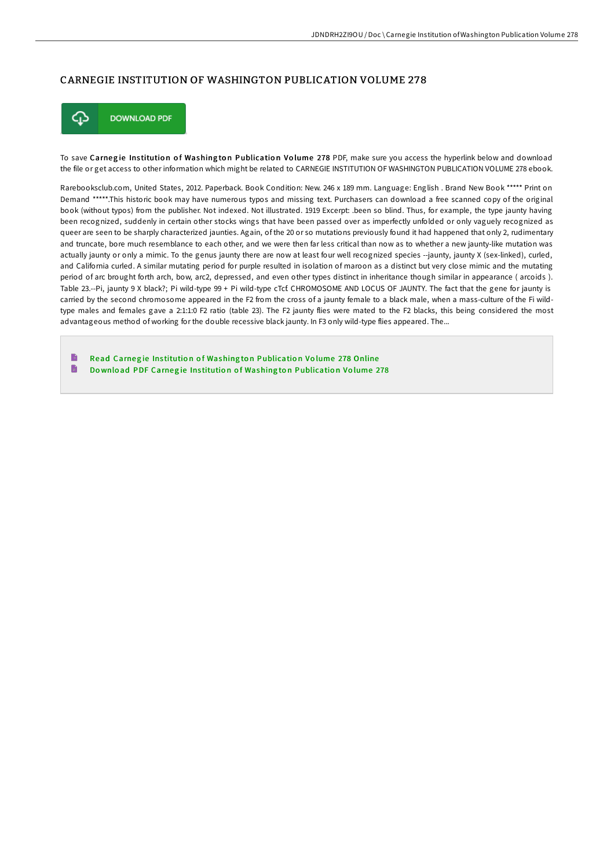## CARNEGIE INSTITUTION OF WASHINGTON PUBLICATION VOLUME 278



To save Carnegie Institution of Washington Publication Volume 278 PDF, make sure you access the hyperlink below and download the file or get access to other information which might be related to CARNEGIE INSTITUTION OF WASHINGTON PUBLICATION VOLUME 278 ebook.

Rarebooksclub.com, United States, 2012. Paperback. Book Condition: New. 246 x 189 mm. Language: English . Brand New Book \*\*\*\*\* Print on Demand \*\*\*\*\*.This historic book may have numerous typos and missing text. Purchasers can download a free scanned copy of the original book (without typos) from the publisher. Not indexed. Not illustrated. 1919 Excerpt: .been so blind. Thus, for example, the type jaunty having been recognized, suddenly in certain other stocks wings that have been passed over as imperfectly unfolded or only vaguely recognized as queer are seen to be sharply characterized jaunties. Again, of the 20 or so mutations previously found it had happened that only 2, rudimentary and truncate, bore much resemblance to each other, and we were then far less critical than now as to whether a new jaunty-like mutation was actually jaunty or only a mimic. To the genus jaunty there are now at least four well recognized species --jaunty, jaunty X (sex-linked), curled, and California curled. A similar mutating period for purple resulted in isolation of maroon as a distinct but very close mimic and the mutating period of arc brought forth arch, bow, arc2, depressed, and even other types distinct in inheritance though similar in appearance ( arcoids ). Table 23.--Pi, jaunty 9 X black?; Pi wild-type 99 + Pi wild-type cTcf. CHROMOSOME AND LOCUS OF JAUNTY. The fact that the gene for jaunty is carried by the second chromosome appeared in the F2 from the cross of a jaunty female to a black male, when a mass-culture of the Fi wildtype males and females gave a 2:1:1:0 F2 ratio (table 23). The F2 jaunty flies were mated to the F2 blacks, this being considered the most advantageous method of working for the double recessive black jaunty. In F3 only wild-type flies appeared. The...

B Read Carnegie Institution of Washington [Publicatio](http://almighty24.tech/carnegie-institution-of-washington-publication-v-6.html)n Volume 278 Online  $\blacksquare$ Download PDF Carnegie Institution of Washington [Publicatio](http://almighty24.tech/carnegie-institution-of-washington-publication-v-6.html)n Volume 278